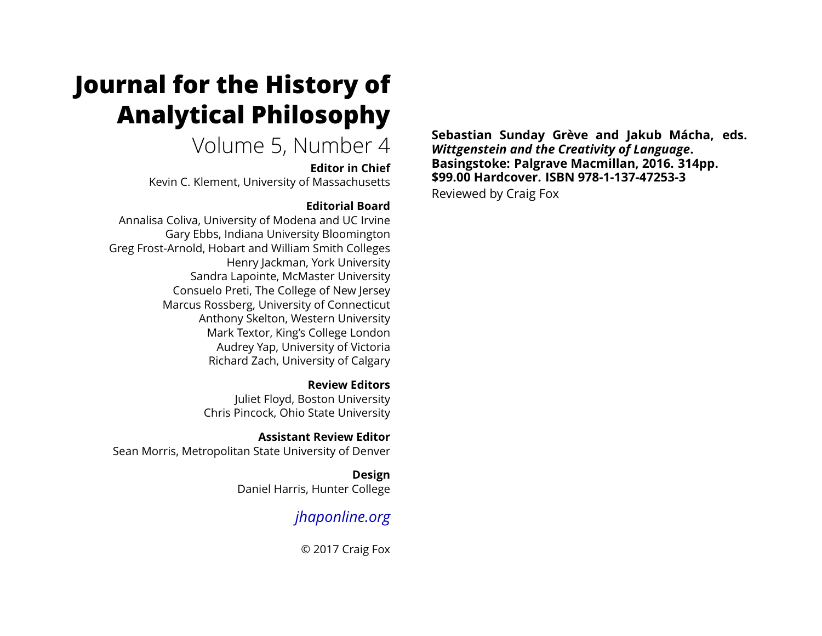# **Journal for the History of Analytical Philosophy**

## Volume 5, Number 4

**Editor in Chief**

Kevin C. Klement, University of Massachusetts

### **Editorial Board**

Annalisa Coliva, University of Modena and UC Irvine Gary Ebbs, Indiana University Bloomington Greg Frost-Arnold, Hobart and William Smith Colleges Henry Jackman, York University Sandra Lapointe, McMaster University Consuelo Preti, The College of New Jersey Marcus Rossberg, University of Connecticut Anthony Skelton, Western University Mark Textor, King's College London Audrey Yap, University of Victoria Richard Zach, University of Calgary

> **Review Editors** Juliet Floyd, Boston University Chris Pincock, Ohio State University

**Assistant Review Editor** Sean Morris, Metropolitan State University of Denver

> **Design** Daniel Harris, Hunter College

### *[jhaponline.org](https://jhaponline.org)*

© 2017 Craig Fox

**Sebastian Sunday Grève and Jakub Mácha, eds.** *Wittgenstein and the Creativity of Language***. Basingstoke: Palgrave Macmillan, 2016. 314pp. \$99.00 Hardcover. ISBN 978-1-137-47253-3** Reviewed by Craig Fox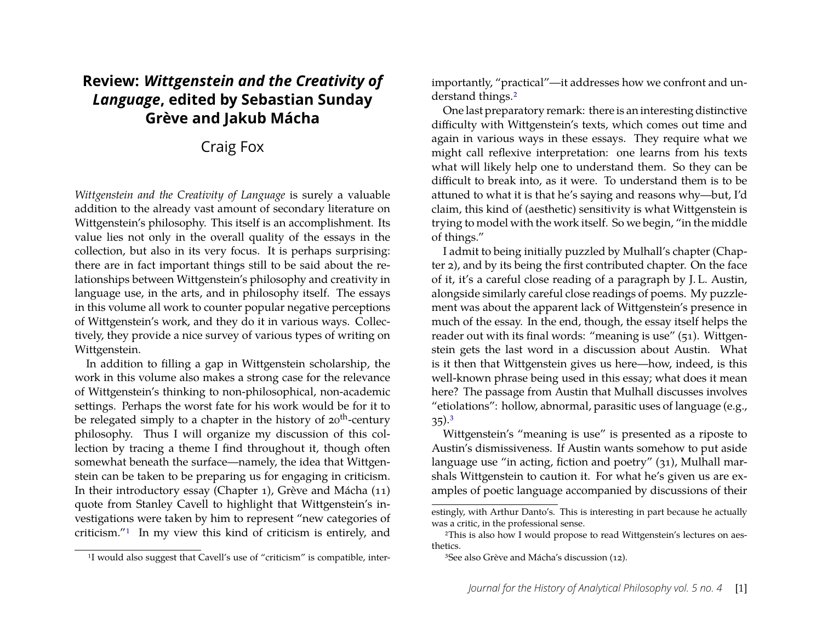### **Review:** *Wittgenstein and the Creativity of Language***, edited by Sebastian Sunday Grève and Jakub Mácha**

### Craig Fox

*Wittgenstein and the Creativity of Language* is surely a valuable addition to the already vast amount of secondary literature on Wittgenstein's philosophy. This itself is an accomplishment. Its value lies not only in the overall quality of the essays in the collection, but also in its very focus. It is perhaps surprising: there are in fact important things still to be said about the relationships between Wittgenstein's philosophy and creativity in language use, in the arts, and in philosophy itself. The essays in this volume all work to counter popular negative perceptions of Wittgenstein's work, and they do it in various ways. Collectively, they provide a nice survey of various types of writing on Wittgenstein.

In addition to filling a gap in Wittgenstein scholarship, the work in this volume also makes a strong case for the relevance of Wittgenstein's thinking to non-philosophical, non-academic settings. Perhaps the worst fate for his work would be for it to be relegated simply to a chapter in the history of  $20<sup>th</sup>$ -century philosophy. Thus I will organize my discussion of this collection by tracing a theme I find throughout it, though often somewhat beneath the surface—namely, the idea that Wittgenstein can be taken to be preparing us for engaging in criticism. In their introductory essay (Chapter 1), Grève and Mácha (11) quote from Stanley Cavell to highlight that Wittgenstein's investigations were taken by him to represent "new categories of criticism."[1](#page-1-0) In my view this kind of criticism is entirely, and importantly, "practical"—it addresses how we confront and un-derstand things.<sup>[2](#page-1-1)</sup>

One last preparatory remark: there is an interesting distinctive difficulty with Wittgenstein's texts, which comes out time and again in various ways in these essays. They require what we might call reflexive interpretation: one learns from his texts what will likely help one to understand them. So they can be difficult to break into, as it were. To understand them is to be attuned to what it is that he's saying and reasons why—but, I'd claim, this kind of (aesthetic) sensitivity is what Wittgenstein is trying to model with the work itself. So we begin, "in the middle of things."

I admit to being initially puzzled by Mulhall's chapter (Chapter 2), and by its being the first contributed chapter. On the face of it, it's a careful close reading of a paragraph by J. L. Austin, alongside similarly careful close readings of poems. My puzzlement was about the apparent lack of Wittgenstein's presence in much of the essay. In the end, though, the essay itself helps the reader out with its final words: "meaning is use" (51). Wittgenstein gets the last word in a discussion about Austin. What is it then that Wittgenstein gives us here—how, indeed, is this well-known phrase being used in this essay; what does it mean here? The passage from Austin that Mulhall discusses involves "etiolations": hollow, abnormal, parasitic uses of language (e.g.,  $35)$  $35)$ .<sup>3</sup>

Wittgenstein's "meaning is use" is presented as a riposte to Austin's dismissiveness. If Austin wants somehow to put aside language use "in acting, fiction and poetry" (31), Mulhall marshals Wittgenstein to caution it. For what he's given us are examples of poetic language accompanied by discussions of their

<span id="page-1-0"></span><sup>&</sup>lt;sup>1</sup>I would also suggest that Cavell's use of "criticism" is compatible, inter-

estingly, with Arthur Danto's. This is interesting in part because he actually was a critic, in the professional sense.

<span id="page-1-1"></span><sup>2</sup>This is also how I would propose to read Wittgenstein's lectures on aesthetics.

<span id="page-1-2"></span><sup>3</sup>See also Grève and Mácha's discussion (12).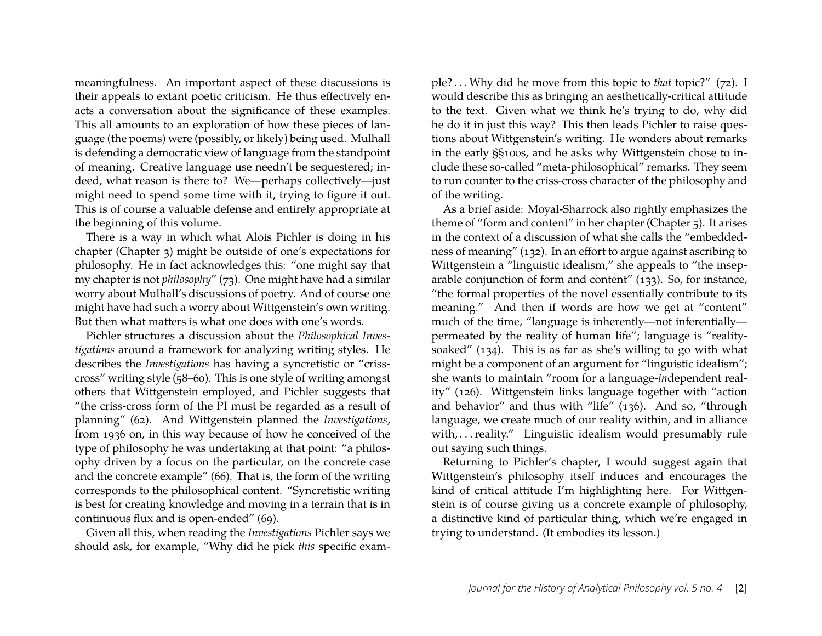meaningfulness. An important aspect of these discussions is their appeals to extant poetic criticism. He thus effectively enacts a conversation about the significance of these examples. This all amounts to an exploration of how these pieces of language (the poems) were (possibly, or likely) being used. Mulhall is defending a democratic view of language from the standpoint of meaning. Creative language use needn't be sequestered; indeed, what reason is there to? We—perhaps collectively—just might need to spend some time with it, trying to figure it out. This is of course a valuable defense and entirely appropriate at the beginning of this volume.

There is a way in which what Alois Pichler is doing in his chapter (Chapter 3) might be outside of one's expectations for philosophy. He in fact acknowledges this: "one might say that my chapter is not *philosophy*" (73). One might have had a similar worry about Mulhall's discussions of poetry. And of course one might have had such a worry about Wittgenstein's own writing. But then what matters is what one does with one's words.

Pichler structures a discussion about the *Philosophical Investigations* around a framework for analyzing writing styles. He describes the *Investigations* has having a syncretistic or "crisscross" writing style (58–60). This is one style of writing amongst others that Wittgenstein employed, and Pichler suggests that "the criss-cross form of the PI must be regarded as a result of planning" (62). And Wittgenstein planned the *Investigations*, from 1936 on, in this way because of how he conceived of the type of philosophy he was undertaking at that point: "a philosophy driven by a focus on the particular, on the concrete case and the concrete example" (66). That is, the form of the writing corresponds to the philosophical content. "Syncretistic writing is best for creating knowledge and moving in a terrain that is in continuous flux and is open-ended" (69).

Given all this, when reading the *Investigations* Pichler says we should ask, for example, "Why did he pick *this* specific exam-

ple? . . . Why did he move from this topic to *that* topic?" (72). I would describe this as bringing an aesthetically-critical attitude to the text. Given what we think he's trying to do, why did he do it in just this way? This then leads Pichler to raise questions about Wittgenstein's writing. He wonders about remarks in the early §§100s, and he asks why Wittgenstein chose to include these so-called "meta-philosophical" remarks. They seem to run counter to the criss-cross character of the philosophy and of the writing.

As a brief aside: Moyal-Sharrock also rightly emphasizes the theme of "form and content" in her chapter (Chapter 5). It arises in the context of a discussion of what she calls the "embeddedness of meaning" (132). In an effort to argue against ascribing to Wittgenstein a "linguistic idealism," she appeals to "the inseparable conjunction of form and content" (133). So, for instance, "the formal properties of the novel essentially contribute to its meaning." And then if words are how we get at "content" much of the time, "language is inherently—not inferentially permeated by the reality of human life"; language is "realitysoaked" (134). This is as far as she's willing to go with what might be a component of an argument for "linguistic idealism"; she wants to maintain "room for a language-*in*dependent reality" (126). Wittgenstein links language together with "action and behavior" and thus with "life" (136). And so, "through language, we create much of our reality within, and in alliance with, ... reality." Linguistic idealism would presumably rule out saying such things.

Returning to Pichler's chapter, I would suggest again that Wittgenstein's philosophy itself induces and encourages the kind of critical attitude I'm highlighting here. For Wittgenstein is of course giving us a concrete example of philosophy, a distinctive kind of particular thing, which we're engaged in trying to understand. (It embodies its lesson.)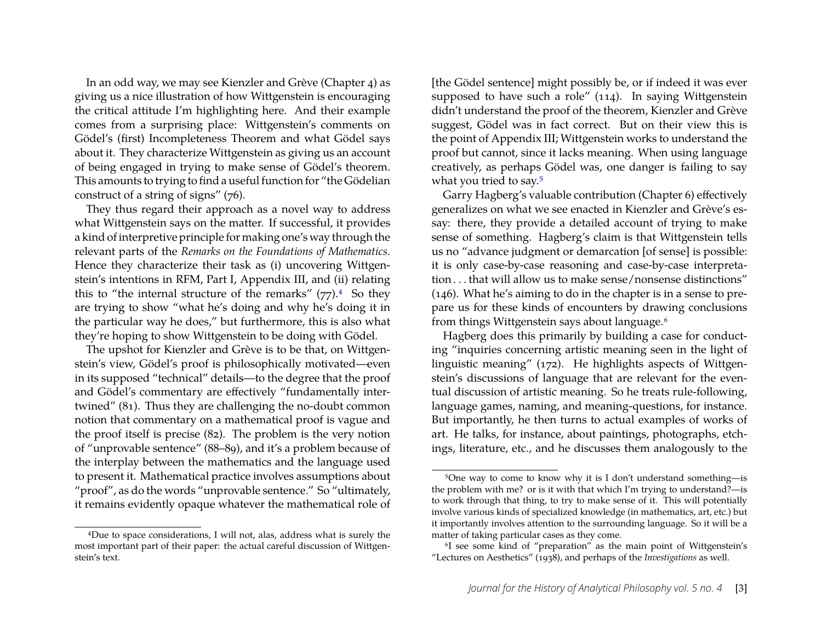In an odd way, we may see Kienzler and Grève (Chapter 4) as giving us a nice illustration of how Wittgenstein is encouraging the critical attitude I'm highlighting here. And their example comes from a surprising place: Wittgenstein's comments on Gödel's (first) Incompleteness Theorem and what Gödel says about it. They characterize Wittgenstein as giving us an account of being engaged in trying to make sense of Gödel's theorem. This amounts to trying to find a useful function for "the Gödelian construct of a string of signs" (76).

They thus regard their approach as a novel way to address what Wittgenstein says on the matter. If successful, it provides a kind of interpretive principle for making one's way through the relevant parts of the *Remarks on the Foundations of Mathematics*. Hence they characterize their task as (i) uncovering Wittgenstein's intentions in RFM, Part I, Appendix III, and (ii) relating this to "the internal structure of the remarks"  $(77)$ .<sup>[4](#page-3-0)</sup> So they are trying to show "what he's doing and why he's doing it in the particular way he does," but furthermore, this is also what they're hoping to show Wittgenstein to be doing with Gödel.

The upshot for Kienzler and Grève is to be that, on Wittgenstein's view, Gödel's proof is philosophically motivated—even in its supposed "technical" details—to the degree that the proof and Gödel's commentary are effectively "fundamentally intertwined" (81). Thus they are challenging the no-doubt common notion that commentary on a mathematical proof is vague and the proof itself is precise (82). The problem is the very notion of "unprovable sentence" (88–89), and it's a problem because of the interplay between the mathematics and the language used to present it. Mathematical practice involves assumptions about "proof", as do the words "unprovable sentence." So "ultimately, it remains evidently opaque whatever the mathematical role of [the Gödel sentence] might possibly be, or if indeed it was ever supposed to have such a role" (114). In saying Wittgenstein didn't understand the proof of the theorem, Kienzler and Grève suggest, Gödel was in fact correct. But on their view this is the point of Appendix III; Wittgenstein works to understand the proof but cannot, since it lacks meaning. When using language creatively, as perhaps Gödel was, one danger is failing to say what you tried to say.<sup>[5](#page-3-1)</sup>

Garry Hagberg's valuable contribution (Chapter 6) effectively generalizes on what we see enacted in Kienzler and Grève's essay: there, they provide a detailed account of trying to make sense of something. Hagberg's claim is that Wittgenstein tells us no "advance judgment or demarcation [of sense] is possible: it is only case-by-case reasoning and case-by-case interpretation . . . that will allow us to make sense/nonsense distinctions" (146). What he's aiming to do in the chapter is in a sense to prepare us for these kinds of encounters by drawing conclusions from things Wittgenstein says about language.[6](#page-3-2)

Hagberg does this primarily by building a case for conducting "inquiries concerning artistic meaning seen in the light of linguistic meaning" (172). He highlights aspects of Wittgenstein's discussions of language that are relevant for the eventual discussion of artistic meaning. So he treats rule-following, language games, naming, and meaning-questions, for instance. But importantly, he then turns to actual examples of works of art. He talks, for instance, about paintings, photographs, etchings, literature, etc., and he discusses them analogously to the

<span id="page-3-0"></span><sup>4</sup>Due to space considerations, I will not, alas, address what is surely the most important part of their paper: the actual careful discussion of Wittgenstein's text.

<span id="page-3-1"></span><sup>5</sup>One way to come to know why it is I don't understand something—is the problem with me? or is it with that which I'm trying to understand?—is to work through that thing, to try to make sense of it. This will potentially involve various kinds of specialized knowledge (in mathematics, art, etc.) but it importantly involves attention to the surrounding language. So it will be a matter of taking particular cases as they come.

<span id="page-3-2"></span><sup>6</sup>I see some kind of "preparation" as the main point of Wittgenstein's "Lectures on Aesthetics" (1938), and perhaps of the *Investigations* as well.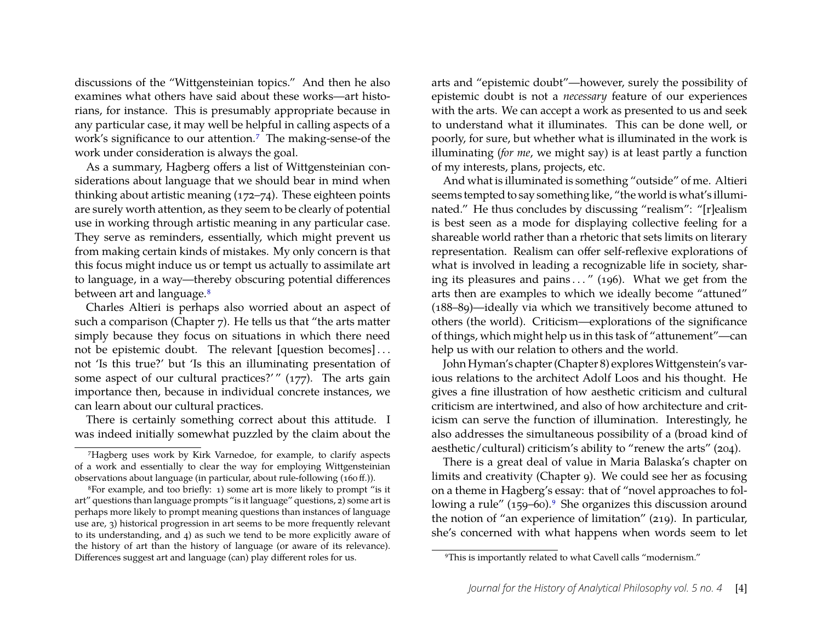discussions of the "Wittgensteinian topics." And then he also examines what others have said about these works—art historians, for instance. This is presumably appropriate because in any particular case, it may well be helpful in calling aspects of a work's significance to our attention.<sup>[7](#page-4-0)</sup> The making-sense-of the work under consideration is always the goal.

As a summary, Hagberg offers a list of Wittgensteinian considerations about language that we should bear in mind when thinking about artistic meaning (172–74). These eighteen points are surely worth attention, as they seem to be clearly of potential use in working through artistic meaning in any particular case. They serve as reminders, essentially, which might prevent us from making certain kinds of mistakes. My only concern is that this focus might induce us or tempt us actually to assimilate art to language, in a way—thereby obscuring potential differences between art and language.<sup>[8](#page-4-1)</sup>

Charles Altieri is perhaps also worried about an aspect of such a comparison (Chapter 7). He tells us that "the arts matter simply because they focus on situations in which there need not be epistemic doubt. The relevant [question becomes] . . . not 'Is this true?' but 'Is this an illuminating presentation of some aspect of our cultural practices?'"  $(177)$ . The arts gain importance then, because in individual concrete instances, we can learn about our cultural practices.

There is certainly something correct about this attitude. I was indeed initially somewhat puzzled by the claim about the

arts and "epistemic doubt"—however, surely the possibility of epistemic doubt is not a *necessary* feature of our experiences with the arts. We can accept a work as presented to us and seek to understand what it illuminates. This can be done well, or poorly, for sure, but whether what is illuminated in the work is illuminating (*for me*, we might say) is at least partly a function of my interests, plans, projects, etc.

And what is illuminated is something "outside" of me. Altieri seems tempted to say something like, "the world is what's illuminated." He thus concludes by discussing "realism": "[r]ealism is best seen as a mode for displaying collective feeling for a shareable world rather than a rhetoric that sets limits on literary representation. Realism can offer self-reflexive explorations of what is involved in leading a recognizable life in society, sharing its pleasures and pains  $\dots$  " (196). What we get from the arts then are examples to which we ideally become "attuned" (188–89)—ideally via which we transitively become attuned to others (the world). Criticism—explorations of the significance of things, which might help us in this task of "attunement"—can help us with our relation to others and the world.

John Hyman's chapter (Chapter 8) explores Wittgenstein's various relations to the architect Adolf Loos and his thought. He gives a fine illustration of how aesthetic criticism and cultural criticism are intertwined, and also of how architecture and criticism can serve the function of illumination. Interestingly, he also addresses the simultaneous possibility of a (broad kind of aesthetic/cultural) criticism's ability to "renew the arts" (204).

There is a great deal of value in Maria Balaska's chapter on limits and creativity (Chapter 9). We could see her as focusing on a theme in Hagberg's essay: that of "novel approaches to fol-lowing a rule" (15[9](#page-4-2)–60).<sup>9</sup> She organizes this discussion around the notion of "an experience of limitation" (219). In particular, she's concerned with what happens when words seem to let

<span id="page-4-0"></span><sup>7</sup>Hagberg uses work by Kirk Varnedoe, for example, to clarify aspects of a work and essentially to clear the way for employing Wittgensteinian observations about language (in particular, about rule-following (160 ff.)).

<span id="page-4-1"></span><sup>8</sup>For example, and too briefly: 1) some art is more likely to prompt "is it art" questions than language prompts "is it language" questions, 2) some art is perhaps more likely to prompt meaning questions than instances of language use are, 3) historical progression in art seems to be more frequently relevant to its understanding, and 4) as such we tend to be more explicitly aware of the history of art than the history of language (or aware of its relevance). Differences suggest art and language (can) play different roles for us.

<span id="page-4-2"></span><sup>9</sup>This is importantly related to what Cavell calls "modernism."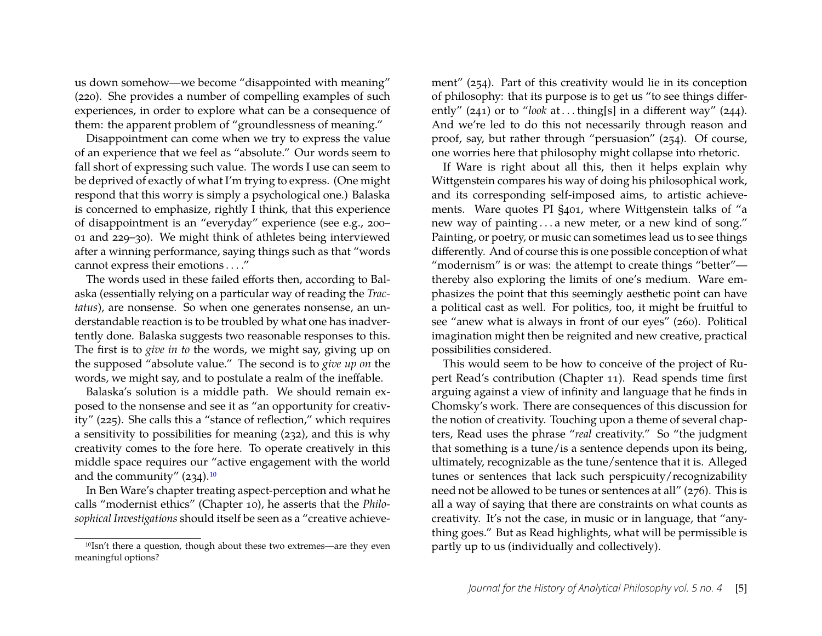us down somehow—we become "disappointed with meaning" (220). She provides a number of compelling examples of such experiences, in order to explore what can be a consequence of them: the apparent problem of "groundlessness of meaning."

Disappointment can come when we try to express the value of an experience that we feel as "absolute." Our words seem to fall short of expressing such value. The words I use can seem to be deprived of exactly of what I'm trying to express. (One might respond that this worry is simply a psychological one.) Balaska is concerned to emphasize, rightly I think, that this experience of disappointment is an "everyday" experience (see e.g., 200– 01 and 229–30). We might think of athletes being interviewed after a winning performance, saying things such as that "words cannot express their emotions . . . ."

The words used in these failed efforts then, according to Balaska (essentially relying on a particular way of reading the *Tractatus*), are nonsense. So when one generates nonsense, an understandable reaction is to be troubled by what one has inadvertently done. Balaska suggests two reasonable responses to this. The first is to *give in to* the words, we might say, giving up on the supposed "absolute value." The second is to *give up on* the words, we might say, and to postulate a realm of the ineffable.

Balaska's solution is a middle path. We should remain exposed to the nonsense and see it as "an opportunity for creativity" (225). She calls this a "stance of reflection," which requires a sensitivity to possibilities for meaning (232), and this is why creativity comes to the fore here. To operate creatively in this middle space requires our "active engagement with the world and the community" (234).[10](#page-5-0)

In Ben Ware's chapter treating aspect-perception and what he calls "modernist ethics" (Chapter 10), he asserts that the *Philosophical Investigations* should itself be seen as a "creative achievement" (254). Part of this creativity would lie in its conception of philosophy: that its purpose is to get us "to see things differently" (241) or to "*look* at ...thing[s] in a different way" (244). And we're led to do this not necessarily through reason and proof, say, but rather through "persuasion" (254). Of course, one worries here that philosophy might collapse into rhetoric.

If Ware is right about all this, then it helps explain why Wittgenstein compares his way of doing his philosophical work, and its corresponding self-imposed aims, to artistic achievements. Ware quotes PI §401, where Wittgenstein talks of "a new way of painting . . . a new meter, or a new kind of song." Painting, or poetry, or music can sometimes lead us to see things differently. And of course this is one possible conception of what "modernism" is or was: the attempt to create things "better" thereby also exploring the limits of one's medium. Ware emphasizes the point that this seemingly aesthetic point can have a political cast as well. For politics, too, it might be fruitful to see "anew what is always in front of our eyes" (260). Political imagination might then be reignited and new creative, practical possibilities considered.

This would seem to be how to conceive of the project of Rupert Read's contribution (Chapter 11). Read spends time first arguing against a view of infinity and language that he finds in Chomsky's work. There are consequences of this discussion for the notion of creativity. Touching upon a theme of several chapters, Read uses the phrase "*real* creativity." So "the judgment that something is a tune/is a sentence depends upon its being, ultimately, recognizable as the tune/sentence that it is. Alleged tunes or sentences that lack such perspicuity/recognizability need not be allowed to be tunes or sentences at all" (276). This is all a way of saying that there are constraints on what counts as creativity. It's not the case, in music or in language, that "anything goes." But as Read highlights, what will be permissible is partly up to us (individually and collectively).

<span id="page-5-0"></span><sup>10</sup>Isn't there a question, though about these two extremes—are they even meaningful options?